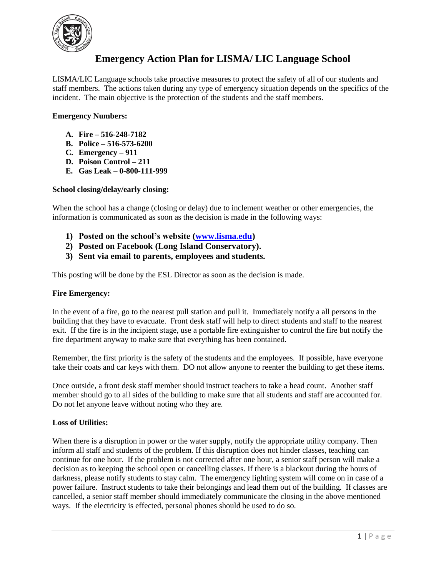

# **Emergency Action Plan for LISMA/ LIC Language School**

LISMA/LIC Language schools take proactive measures to protect the safety of all of our students and staff members. The actions taken during any type of emergency situation depends on the specifics of the incident. The main objective is the protection of the students and the staff members.

## **Emergency Numbers:**

- **A. Fire – 516-248-7182**
- **B. Police – 516-573-6200**
- **C. Emergency – 911**
- **D. Poison Control – 211**
- **E. Gas Leak – 0-800-111-999**

## **School closing/delay/early closing:**

When the school has a change (closing or delay) due to inclement weather or other emergencies, the information is communicated as soon as the decision is made in the following ways:

- **1) Posted on the school's website [\(www.lisma.edu\)](http://www.lisma.edu/)**
- **2) Posted on Facebook (Long Island Conservatory).**
- **3) Sent via email to parents, employees and students.**

This posting will be done by the ESL Director as soon as the decision is made.

## **Fire Emergency:**

In the event of a fire, go to the nearest pull station and pull it. Immediately notify a all persons in the building that they have to evacuate. Front desk staff will help to direct students and staff to the nearest exit. If the fire is in the incipient stage, use a portable fire extinguisher to control the fire but notify the fire department anyway to make sure that everything has been contained.

Remember, the first priority is the safety of the students and the employees. If possible, have everyone take their coats and car keys with them. DO not allow anyone to reenter the building to get these items.

Once outside, a front desk staff member should instruct teachers to take a head count. Another staff member should go to all sides of the building to make sure that all students and staff are accounted for. Do not let anyone leave without noting who they are.

## **Loss of Utilities:**

When there is a disruption in power or the water supply, notify the appropriate utility company. Then inform all staff and students of the problem. If this disruption does not hinder classes, teaching can continue for one hour. If the problem is not corrected after one hour, a senior staff person will make a decision as to keeping the school open or cancelling classes. If there is a blackout during the hours of darkness, please notify students to stay calm. The emergency lighting system will come on in case of a power failure. Instruct students to take their belongings and lead them out of the building. If classes are cancelled, a senior staff member should immediately communicate the closing in the above mentioned ways. If the electricity is effected, personal phones should be used to do so.